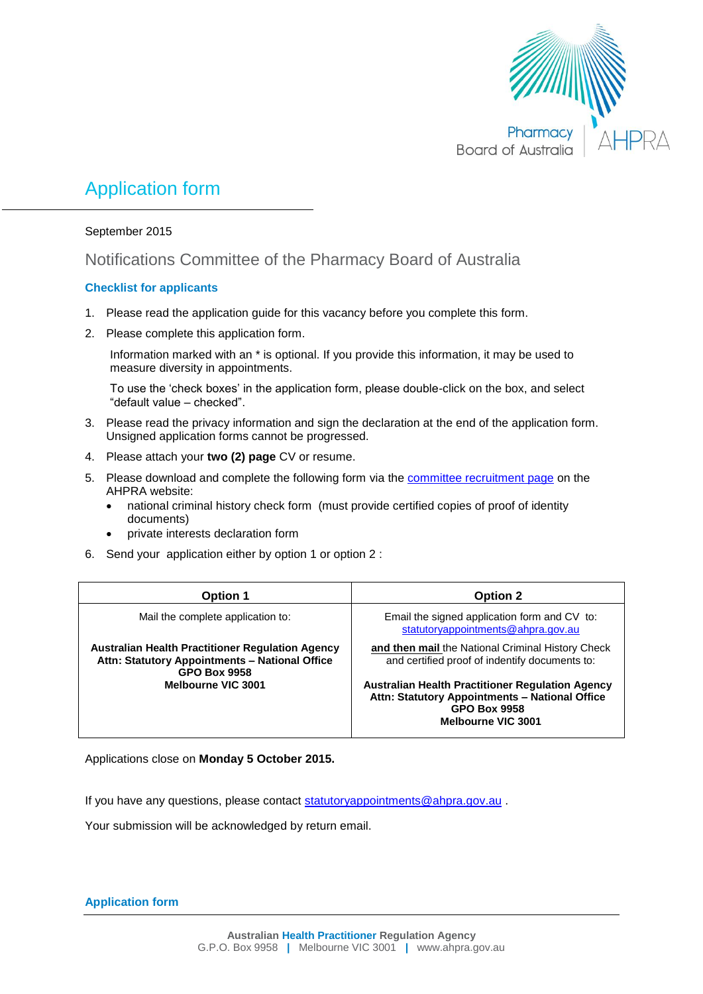

# Application form

#### September 2015

# Notifications Committee of the Pharmacy Board of Australia

#### **Checklist for applicants**

- 1. Please read the application guide for this vacancy before you complete this form.
- 2. Please complete this application form.

Information marked with an \* is optional. If you provide this information, it may be used to measure diversity in appointments.

To use the 'check boxes' in the application form, please double-click on the box, and select "default value – checked".

- 3. Please read the privacy information and sign the declaration at the end of the application form. Unsigned application forms cannot be progressed.
- 4. Please attach your **two (2) page** CV or resume.
- 5. Please download and complete the following form via the [committee recruitment page](http://www.ahpra.gov.au/National-Boards/Committee-member-recruitment.aspx) on the AHPRA website:
	- national criminal history check form (must provide certified copies of proof of identity documents)
	- private interests declaration form
- 6. Send your application either by option 1 or option 2 :

| <b>Option 1</b>                                                                                                                  | <b>Option 2</b>                                                                                                                                               |
|----------------------------------------------------------------------------------------------------------------------------------|---------------------------------------------------------------------------------------------------------------------------------------------------------------|
| Mail the complete application to:                                                                                                | Email the signed application form and CV to:<br>statutoryappointments@ahpra.gov.au                                                                            |
| <b>Australian Health Practitioner Regulation Agency</b><br>Attn: Statutory Appointments - National Office<br><b>GPO Box 9958</b> | and then mail the National Criminal History Check<br>and certified proof of indentify documents to:                                                           |
| Melbourne VIC 3001                                                                                                               | <b>Australian Health Practitioner Regulation Agency</b><br>Attn: Statutory Appointments - National Office<br><b>GPO Box 9958</b><br><b>Melbourne VIC 3001</b> |

Applications close on **Monday 5 October 2015.**

If you have any questions, please contact [statutoryappointments@ahpra.gov.au](mailto:statutoryappointments@ahpra.gov.au).

Your submission will be acknowledged by return email.

**Application form**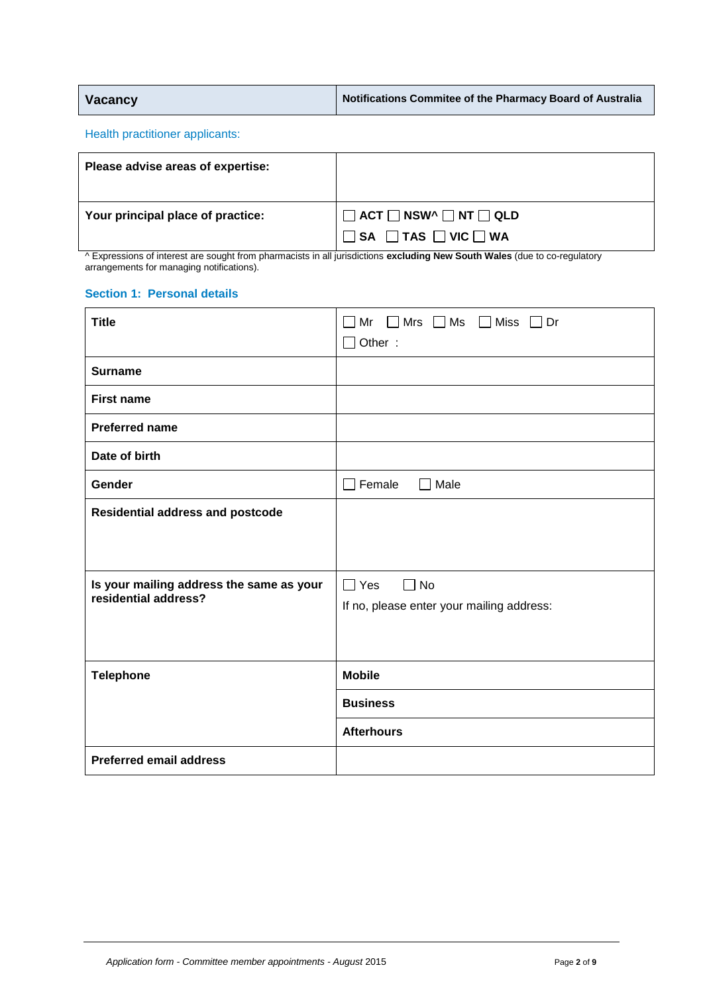| Vacancy | Notifications Commitee of the Pharmacy Board of Australia |
|---------|-----------------------------------------------------------|
|---------|-----------------------------------------------------------|

Health practitioner applicants:

| Please advise areas of expertise: |                                                                                          |
|-----------------------------------|------------------------------------------------------------------------------------------|
| Your principal place of practice: | $\Box$ ACT $\Box$ NSW^ $\Box$ NT $\Box$ QLD<br>$\Box$ SA $\Box$ TAS $\Box$ VIC $\Box$ WA |

^ Expressions of interest are sought from pharmacists in all jurisdictions **excluding New South Wales** (due to co-regulatory arrangements for managing notifications).

#### **Section 1: Personal details**

| <b>Title</b>                             | $\Box$ Mr $\Box$ Mrs $\Box$ Ms $\Box$ Miss $\Box$ Dr |
|------------------------------------------|------------------------------------------------------|
|                                          | $\Box$ Other:                                        |
| <b>Surname</b>                           |                                                      |
| <b>First name</b>                        |                                                      |
| <b>Preferred name</b>                    |                                                      |
| Date of birth                            |                                                      |
| Gender                                   | $\Box$ Female<br>$\Box$ Male                         |
| <b>Residential address and postcode</b>  |                                                      |
|                                          |                                                      |
| Is your mailing address the same as your | $\Box$ Yes<br>$\Box$ No                              |
| residential address?                     | If no, please enter your mailing address:            |
|                                          |                                                      |
|                                          |                                                      |
| <b>Telephone</b>                         | <b>Mobile</b>                                        |
|                                          | <b>Business</b>                                      |
|                                          | <b>Afterhours</b>                                    |
| <b>Preferred email address</b>           |                                                      |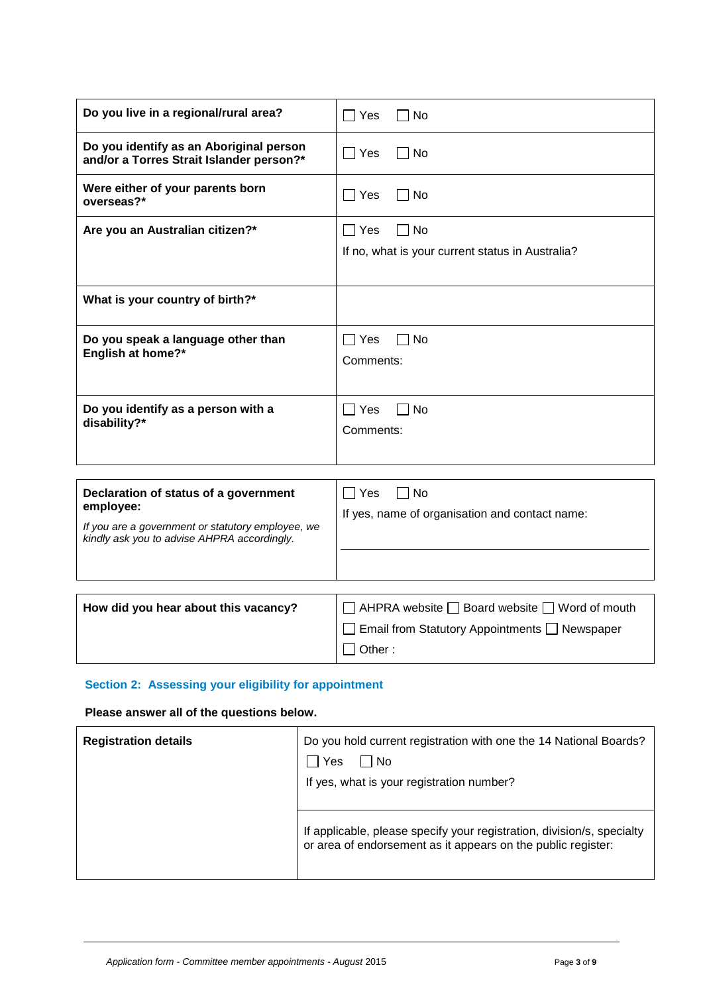| Do you live in a regional/rural area?                                                                                                                  | $\Box$ Yes<br>□ No                                                                             |
|--------------------------------------------------------------------------------------------------------------------------------------------------------|------------------------------------------------------------------------------------------------|
| Do you identify as an Aboriginal person<br>and/or a Torres Strait Islander person?*                                                                    | $\sqsupset$ Yes<br>$\sqcap$ No                                                                 |
| Were either of your parents born<br>overseas?*                                                                                                         | $\Box$ Yes<br>l No                                                                             |
| Are you an Australian citizen?*                                                                                                                        | ∩ No<br>  Yes<br>If no, what is your current status in Australia?                              |
| What is your country of birth?*                                                                                                                        |                                                                                                |
| Do you speak a language other than<br>English at home?*                                                                                                | Yes<br>  No<br>Comments:                                                                       |
| Do you identify as a person with a<br>disability?*                                                                                                     | <b>No</b><br>l Yes<br>Comments:                                                                |
| Declaration of status of a government<br>employee:<br>If you are a government or statutory employee, we<br>kindly ask you to advise AHPRA accordingly. | $\Box$ Yes<br>$\sqcap$ No<br>If yes, name of organisation and contact name:                    |
| How did you hear about this vacancy?                                                                                                                   | AHPRA website □ Board website □ Word of mouth<br>Email from Statutory Appointments □ Newspaper |

## **Section 2: Assessing your eligibility for appointment**

### **Please answer all of the questions below.**

| <b>Registration details</b> | Do you hold current registration with one the 14 National Boards?<br>Yes<br>No<br>If yes, what is your registration number?            |
|-----------------------------|----------------------------------------------------------------------------------------------------------------------------------------|
|                             | If applicable, please specify your registration, division/s, specialty<br>or area of endorsement as it appears on the public register: |

□ Other :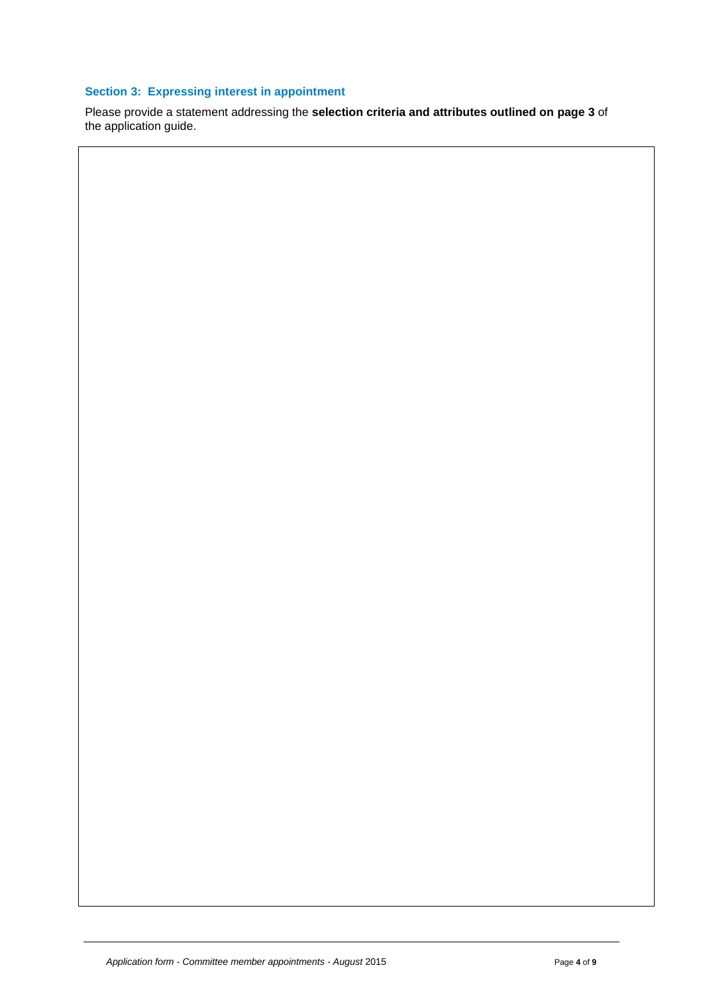### **Section 3: Expressing interest in appointment**

Please provide a statement addressing the **selection criteria and attributes outlined on page 3** of the application guide.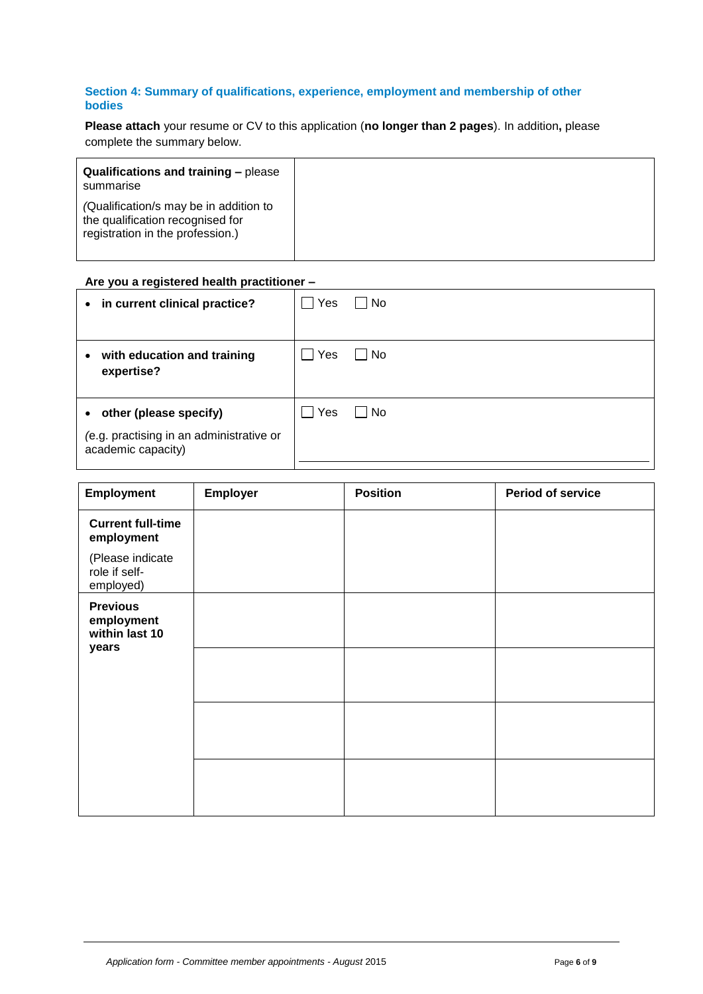#### **Section 4: Summary of qualifications, experience, employment and membership of other bodies**

**Please attach** your resume or CV to this application (**no longer than 2 pages**). In addition**,** please complete the summary below.

| <b>Qualifications and training – please</b><br>summarise                                                       |
|----------------------------------------------------------------------------------------------------------------|
| (Qualification/s may be in addition to<br>the qualification recognised for<br>registration in the profession.) |

#### **Are you a registered health practitioner –**

| • in current clinical practice?                                                            | Yes | No |
|--------------------------------------------------------------------------------------------|-----|----|
| with education and training<br>$\bullet$<br>expertise?                                     | Yes | No |
| • other (please specify)<br>(e.g. practising in an administrative or<br>academic capacity) | Yes | No |

| Employment                                      | Employer | <b>Position</b> | <b>Period of service</b> |
|-------------------------------------------------|----------|-----------------|--------------------------|
| <b>Current full-time</b><br>employment          |          |                 |                          |
| (Please indicate<br>role if self-<br>employed)  |          |                 |                          |
| <b>Previous</b><br>employment<br>within last 10 |          |                 |                          |
| years                                           |          |                 |                          |
|                                                 |          |                 |                          |
|                                                 |          |                 |                          |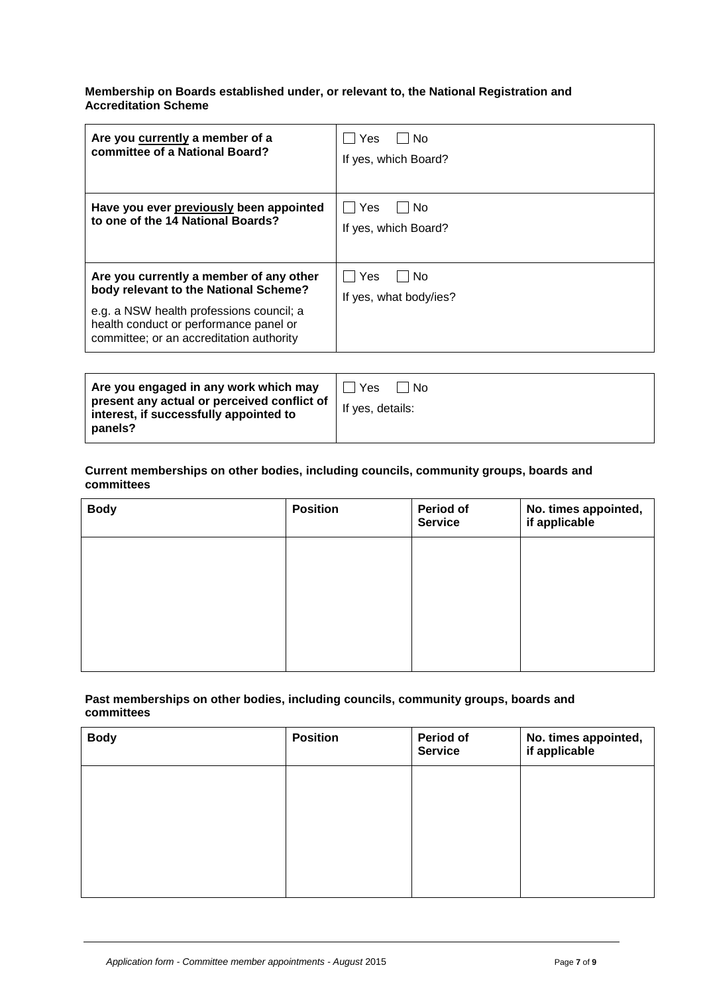#### **Membership on Boards established under, or relevant to, the National Registration and Accreditation Scheme**

| Are you currently a member of a<br>committee of a National Board?                                                                                                                                                  | Yes<br>No.<br>If yes, which Board?  |
|--------------------------------------------------------------------------------------------------------------------------------------------------------------------------------------------------------------------|-------------------------------------|
| Have you ever previously been appointed<br>to one of the 14 National Boards?                                                                                                                                       | Yes<br>No<br>If yes, which Board?   |
| Are you currently a member of any other<br>body relevant to the National Scheme?<br>e.g. a NSW health professions council; a<br>health conduct or performance panel or<br>committee; or an accreditation authority | Yes<br>No<br>If yes, what body/ies? |

| Are you engaged in any work which may<br>present any actual or perceived conflict of<br>interest, if successfully appointed to<br>panels? | Yes<br>∣ No<br>If yes, details: |
|-------------------------------------------------------------------------------------------------------------------------------------------|---------------------------------|
|-------------------------------------------------------------------------------------------------------------------------------------------|---------------------------------|

#### **Current memberships on other bodies, including councils, community groups, boards and committees**

| <b>Body</b> | <b>Position</b> | Period of<br><b>Service</b> | No. times appointed,<br>if applicable |
|-------------|-----------------|-----------------------------|---------------------------------------|
|             |                 |                             |                                       |
|             |                 |                             |                                       |
|             |                 |                             |                                       |
|             |                 |                             |                                       |

#### **Past memberships on other bodies, including councils, community groups, boards and committees**

| <b>Body</b> | <b>Position</b> | Period of<br><b>Service</b> | No. times appointed,<br>if applicable |
|-------------|-----------------|-----------------------------|---------------------------------------|
|             |                 |                             |                                       |
|             |                 |                             |                                       |
|             |                 |                             |                                       |
|             |                 |                             |                                       |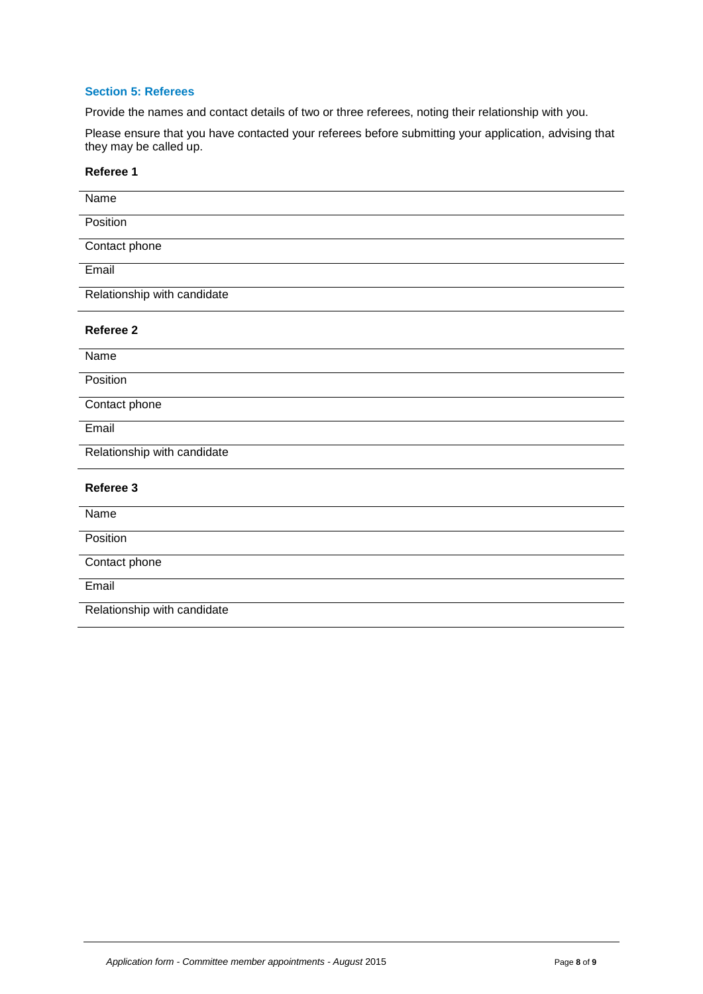#### **Section 5: Referees**

Provide the names and contact details of two or three referees, noting their relationship with you.

Please ensure that you have contacted your referees before submitting your application, advising that they may be called up.

#### **Referee 1**

| Name                        |
|-----------------------------|
| Position                    |
| Contact phone               |
| Email                       |
| Relationship with candidate |
| Referee 2                   |
| Name                        |
| Position                    |
| Contact phone               |
| Email                       |
| Relationship with candidate |
| Referee 3                   |
| Name                        |
| Position                    |
| Contact phone               |
| Email                       |
| Relationship with candidate |
|                             |